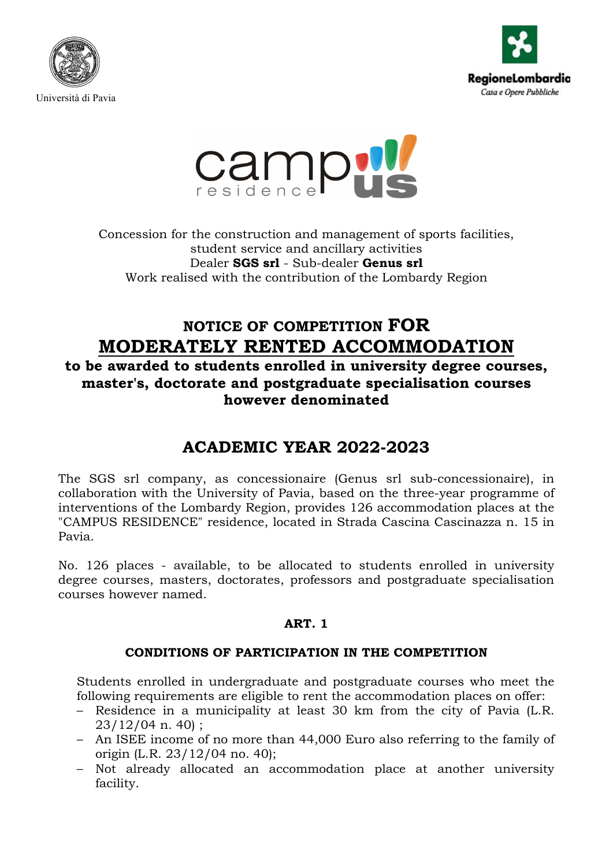





Concession for the construction and management of sports facilities, student service and ancillary activities Dealer **SGS srl** - Sub-dealer **Genus srl**  Work realised with the contribution of the Lombardy Region

# **NOTICE OF COMPETITION FOR MODERATELY RENTED ACCOMMODATION**

**to be awarded to students enrolled in university degree courses, master's, doctorate and postgraduate specialisation courses however denominated**

# **ACADEMIC YEAR 2022-2023**

The SGS srl company, as concessionaire (Genus srl sub-concessionaire), in collaboration with the University of Pavia, based on the three-year programme of interventions of the Lombardy Region, provides 126 accommodation places at the "CAMPUS RESIDENCE" residence, located in Strada Cascina Cascinazza n. 15 in Pavia.

No. 126 places - available, to be allocated to students enrolled in university degree courses, masters, doctorates, professors and postgraduate specialisation courses however named.

## **ART. 1**

## **CONDITIONS OF PARTICIPATION IN THE COMPETITION**

Students enrolled in undergraduate and postgraduate courses who meet the following requirements are eligible to rent the accommodation places on offer:

- Residence in a municipality at least 30 km from the city of Pavia (L.R. 23/12/04 n. 40) ;
- An ISEE income of no more than 44,000 Euro also referring to the family of origin (L.R. 23/12/04 no. 40);
- Not already allocated an accommodation place at another university facility.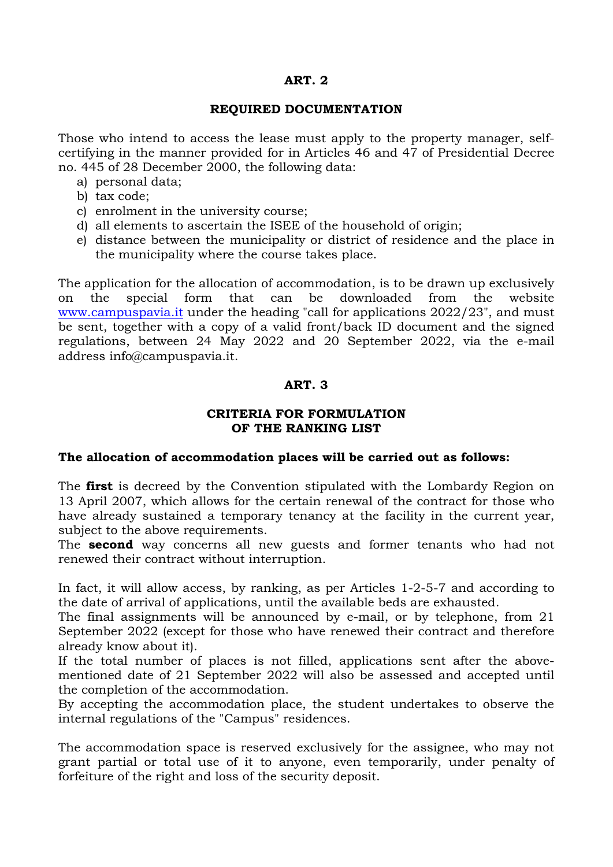## **ART. 2**

#### **REQUIRED DOCUMENTATION**

Those who intend to access the lease must apply to the property manager, selfcertifying in the manner provided for in Articles 46 and 47 of Presidential Decree no. 445 of 28 December 2000, the following data:

- a) personal data;
- b) tax code;
- c) enrolment in the university course;
- d) all elements to ascertain the ISEE of the household of origin;
- e) distance between the municipality or district of residence and the place in the municipality where the course takes place.

The application for the allocation of accommodation, is to be drawn up exclusively on the special form that can be downloaded from the website [www.campuspavia.it](http://www.campuspavia.it/) under the heading "call for applications 2022/23", and must be sent, together with a copy of a valid front/back ID document and the signed regulations, between 24 May 2022 and 20 September 2022, via the e-mail address info@campuspavia.it.

## **ART. 3**

## **CRITERIA FOR FORMULATION OF THE RANKING LIST**

### **The allocation of accommodation places will be carried out as follows:**

The **first** is decreed by the Convention stipulated with the Lombardy Region on 13 April 2007, which allows for the certain renewal of the contract for those who have already sustained a temporary tenancy at the facility in the current year, subject to the above requirements.

The **second** way concerns all new guests and former tenants who had not renewed their contract without interruption.

In fact, it will allow access, by ranking, as per Articles 1-2-5-7 and according to the date of arrival of applications, until the available beds are exhausted.

The final assignments will be announced by e-mail, or by telephone, from 21 September 2022 (except for those who have renewed their contract and therefore already know about it).

If the total number of places is not filled, applications sent after the abovementioned date of 21 September 2022 will also be assessed and accepted until the completion of the accommodation.

By accepting the accommodation place, the student undertakes to observe the internal regulations of the "Campus" residences.

The accommodation space is reserved exclusively for the assignee, who may not grant partial or total use of it to anyone, even temporarily, under penalty of forfeiture of the right and loss of the security deposit.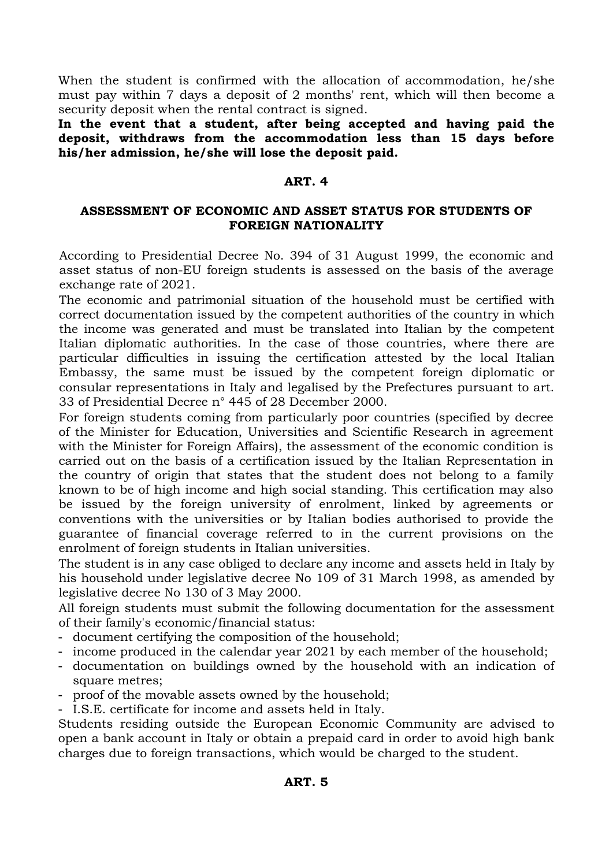When the student is confirmed with the allocation of accommodation, he/she must pay within 7 days a deposit of 2 months' rent, which will then become a security deposit when the rental contract is signed.

**In the event that a student, after being accepted and having paid the deposit, withdraws from the accommodation less than 15 days before his/her admission, he/she will lose the deposit paid.**

### **ART. 4**

#### **ASSESSMENT OF ECONOMIC AND ASSET STATUS FOR STUDENTS OF FOREIGN NATIONALITY**

According to Presidential Decree No. 394 of 31 August 1999, the economic and asset status of non-EU foreign students is assessed on the basis of the average exchange rate of 2021.

The economic and patrimonial situation of the household must be certified with correct documentation issued by the competent authorities of the country in which the income was generated and must be translated into Italian by the competent Italian diplomatic authorities. In the case of those countries, where there are particular difficulties in issuing the certification attested by the local Italian Embassy, the same must be issued by the competent foreign diplomatic or consular representations in Italy and legalised by the Prefectures pursuant to art. 33 of Presidential Decree n° 445 of 28 December 2000.

For foreign students coming from particularly poor countries (specified by decree of the Minister for Education, Universities and Scientific Research in agreement with the Minister for Foreign Affairs), the assessment of the economic condition is carried out on the basis of a certification issued by the Italian Representation in the country of origin that states that the student does not belong to a family known to be of high income and high social standing. This certification may also be issued by the foreign university of enrolment, linked by agreements or conventions with the universities or by Italian bodies authorised to provide the guarantee of financial coverage referred to in the current provisions on the enrolment of foreign students in Italian universities.

The student is in any case obliged to declare any income and assets held in Italy by his household under legislative decree No 109 of 31 March 1998, as amended by legislative decree No 130 of 3 May 2000.

All foreign students must submit the following documentation for the assessment of their family's economic/financial status:

- document certifying the composition of the household;
- income produced in the calendar year 2021 by each member of the household:
- documentation on buildings owned by the household with an indication of square metres;
- proof of the movable assets owned by the household;
- I.S.E. certificate for income and assets held in Italy.

Students residing outside the European Economic Community are advised to open a bank account in Italy or obtain a prepaid card in order to avoid high bank charges due to foreign transactions, which would be charged to the student.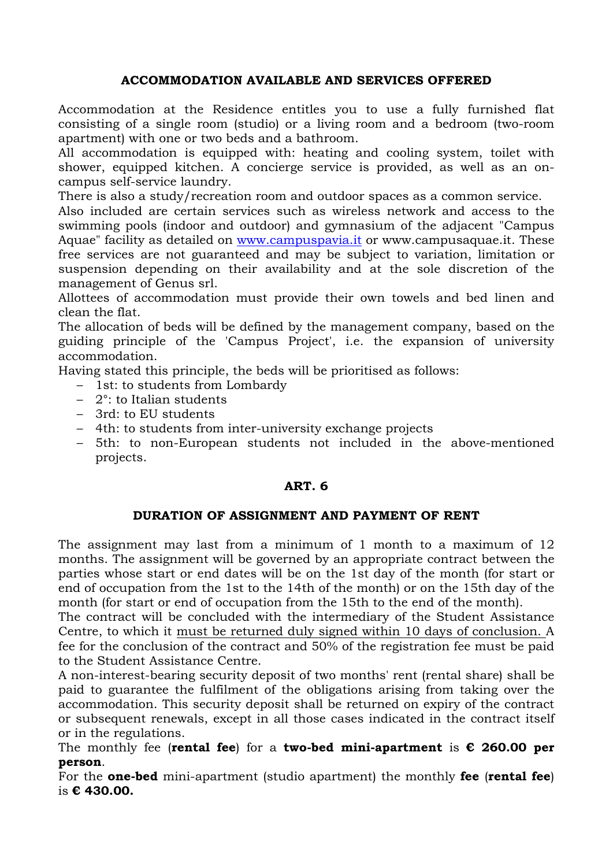## **ACCOMMODATION AVAILABLE AND SERVICES OFFERED**

Accommodation at the Residence entitles you to use a fully furnished flat consisting of a single room (studio) or a living room and a bedroom (two-room apartment) with one or two beds and a bathroom.

All accommodation is equipped with: heating and cooling system, toilet with shower, equipped kitchen. A concierge service is provided, as well as an oncampus self-service laundry.

There is also a study/recreation room and outdoor spaces as a common service.

Also included are certain services such as wireless network and access to the swimming pools (indoor and outdoor) and gymnasium of the adjacent "Campus Aquae" facility as detailed on [www.campuspavia.it](http://www.campuspavia.it/) or www.campusaquae.it. These free services are not guaranteed and may be subject to variation, limitation or suspension depending on their availability and at the sole discretion of the management of Genus srl.

Allottees of accommodation must provide their own towels and bed linen and clean the flat.

The allocation of beds will be defined by the management company, based on the guiding principle of the 'Campus Project', i.e. the expansion of university accommodation.

Having stated this principle, the beds will be prioritised as follows:

- 1st: to students from Lombardy
- 2°: to Italian students
- 3rd: to EU students
- 4th: to students from inter-university exchange projects
- 5th: to non-European students not included in the above-mentioned projects.

### **ART. 6**

#### **DURATION OF ASSIGNMENT AND PAYMENT OF RENT**

The assignment may last from a minimum of 1 month to a maximum of 12 months. The assignment will be governed by an appropriate contract between the parties whose start or end dates will be on the 1st day of the month (for start or end of occupation from the 1st to the 14th of the month) or on the 15th day of the month (for start or end of occupation from the 15th to the end of the month).

The contract will be concluded with the intermediary of the Student Assistance Centre, to which it must be returned duly signed within 10 days of conclusion. A fee for the conclusion of the contract and 50% of the registration fee must be paid to the Student Assistance Centre.

A non-interest-bearing security deposit of two months' rent (rental share) shall be paid to guarantee the fulfilment of the obligations arising from taking over the accommodation. This security deposit shall be returned on expiry of the contract or subsequent renewals, except in all those cases indicated in the contract itself or in the regulations.

The monthly fee (**rental fee**) for a **two-bed mini-apartment** is **€ 260.00 per person**.

For the **one-bed** mini-apartment (studio apartment) the monthly **fee** (**rental fee**) is **€ 430.00.**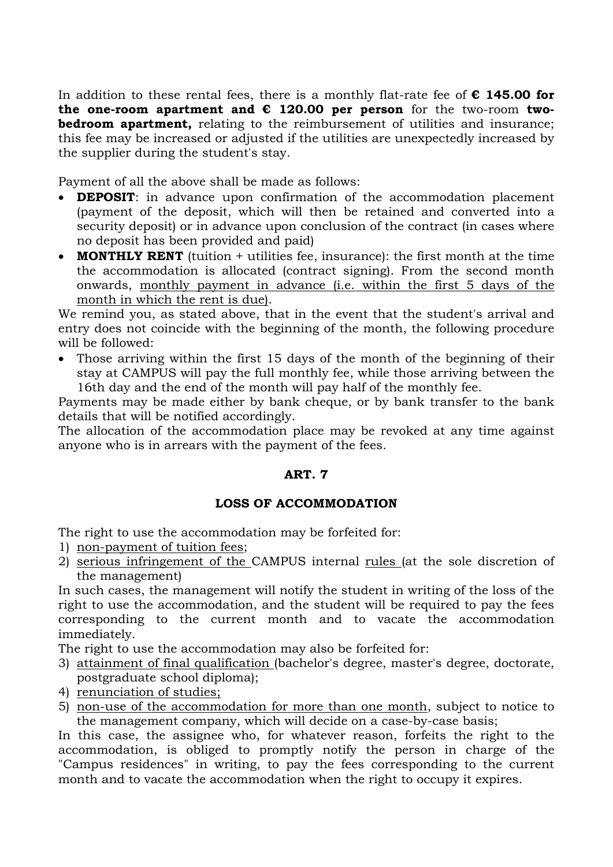In addition to these rental fees, there is a monthly flat-rate fee of **€ 145.00 for**  the one-room apartment and  $\epsilon$  120.00 per person for the two-room two**bedroom apartment,** relating to the reimbursement of utilities and insurance; this fee may be increased or adjusted if the utilities are unexpectedly increased by the supplier during the student's stay.

Payment of all the above shall be made as follows:

- **DEPOSIT**: in advance upon confirmation of the accommodation placement (payment of the deposit, which will then be retained and converted into a security deposit) or in advance upon conclusion of the contract (in cases where no deposit has been provided and paid)
- **MONTHLY RENT** (tuition + utilities fee, insurance): the first month at the time the accommodation is allocated (contract signing). From the second month onwards, monthly payment in advance (i.e. within the first 5 days of the month in which the rent is due).

We remind you, as stated above, that in the event that the student's arrival and entry does not coincide with the beginning of the month, the following procedure will be followed:

• Those arriving within the first 15 days of the month of the beginning of their stay at CAMPUS will pay the full monthly fee, while those arriving between the 16th day and the end of the month will pay half of the monthly fee.

Payments may be made either by bank cheque, or by bank transfer to the bank details that will be notified accordingly.

The allocation of the accommodation place may be revoked at any time against anyone who is in arrears with the payment of the fees.

## **ART. 7**

## **LOSS OF ACCOMMODATION**

The right to use the accommodation may be forfeited for:

- 1) non-payment of tuition fees;
- 2) serious infringement of the CAMPUS internal rules (at the sole discretion of the management)

In such cases, the management will notify the student in writing of the loss of the right to use the accommodation, and the student will be required to pay the fees corresponding to the current month and to vacate the accommodation immediately.

The right to use the accommodation may also be forfeited for:

- 3) attainment of final qualification (bachelor's degree, master's degree, doctorate, postgraduate school diploma);
- 4) renunciation of studies;
- 5) non-use of the accommodation for more than one month, subject to notice to the management company, which will decide on a case-by-case basis;

In this case, the assignee who, for whatever reason, forfeits the right to the accommodation, is obliged to promptly notify the person in charge of the "Campus residences" in writing, to pay the fees corresponding to the current month and to vacate the accommodation when the right to occupy it expires.